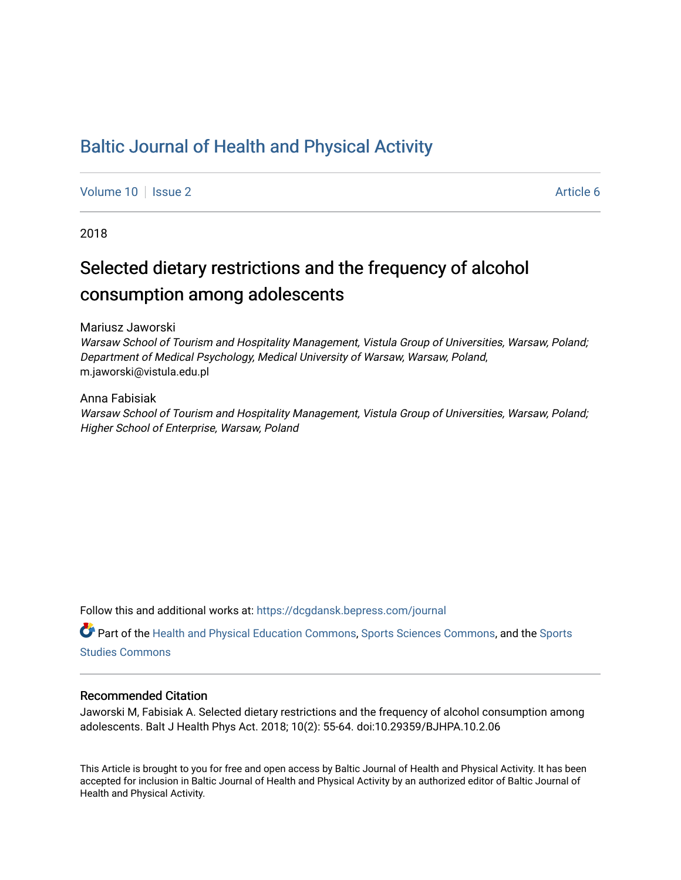## [Baltic Journal of Health and Physical Activity](https://dcgdansk.bepress.com/journal)

[Volume 10](https://dcgdansk.bepress.com/journal/vol10) | [Issue 2](https://dcgdansk.bepress.com/journal/vol10/iss2) Article 6

2018

## Selected dietary restrictions and the frequency of alcohol consumption among adolescents

Mariusz Jaworski

Warsaw School of Tourism and Hospitality Management, Vistula Group of Universities, Warsaw, Poland; Department of Medical Psychology, Medical University of Warsaw, Warsaw, Poland, m.jaworski@vistula.edu.pl

Anna Fabisiak Warsaw School of Tourism and Hospitality Management, Vistula Group of Universities, Warsaw, Poland; Higher School of Enterprise, Warsaw, Poland

Follow this and additional works at: [https://dcgdansk.bepress.com/journal](https://dcgdansk.bepress.com/journal?utm_source=dcgdansk.bepress.com%2Fjournal%2Fvol10%2Fiss2%2F6&utm_medium=PDF&utm_campaign=PDFCoverPages)

Part of the [Health and Physical Education Commons](http://network.bepress.com/hgg/discipline/1327?utm_source=dcgdansk.bepress.com%2Fjournal%2Fvol10%2Fiss2%2F6&utm_medium=PDF&utm_campaign=PDFCoverPages), [Sports Sciences Commons](http://network.bepress.com/hgg/discipline/759?utm_source=dcgdansk.bepress.com%2Fjournal%2Fvol10%2Fiss2%2F6&utm_medium=PDF&utm_campaign=PDFCoverPages), and the [Sports](http://network.bepress.com/hgg/discipline/1198?utm_source=dcgdansk.bepress.com%2Fjournal%2Fvol10%2Fiss2%2F6&utm_medium=PDF&utm_campaign=PDFCoverPages)  [Studies Commons](http://network.bepress.com/hgg/discipline/1198?utm_source=dcgdansk.bepress.com%2Fjournal%2Fvol10%2Fiss2%2F6&utm_medium=PDF&utm_campaign=PDFCoverPages) 

#### Recommended Citation

Jaworski M, Fabisiak A. Selected dietary restrictions and the frequency of alcohol consumption among adolescents. Balt J Health Phys Act. 2018; 10(2): 55-64. doi:10.29359/BJHPA.10.2.06

This Article is brought to you for free and open access by Baltic Journal of Health and Physical Activity. It has been accepted for inclusion in Baltic Journal of Health and Physical Activity by an authorized editor of Baltic Journal of Health and Physical Activity.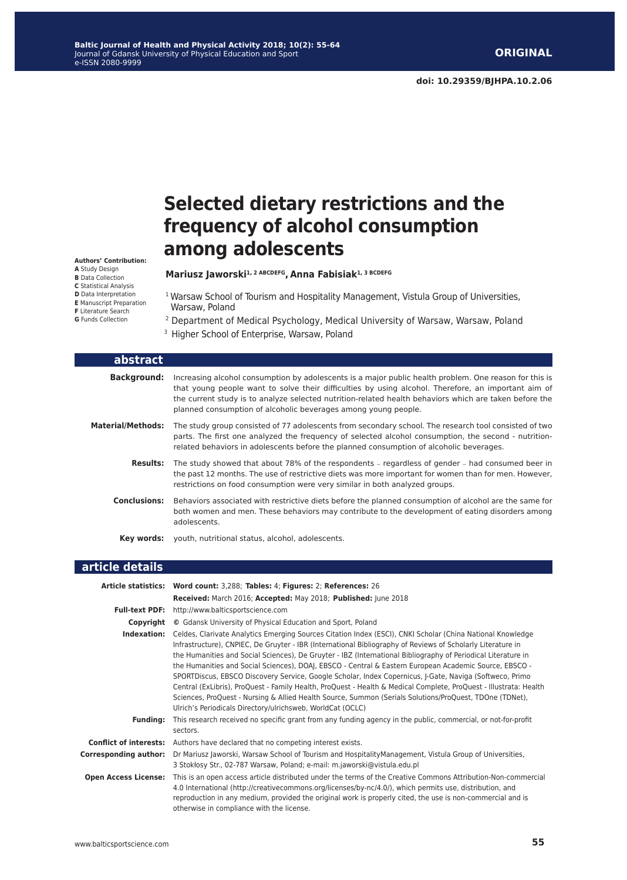# **Selected dietary restrictions and the frequency of alcohol consumption among adolescents**

#### **Mariusz Jaworski1, 2 ABCDEFG, Anna Fabisiak1, 3 BCDEFG**

- <sup>1</sup> Warsaw School of Tourism and Hospitality Management, Vistula Group of Universities, Warsaw, Poland
- 2 Department of Medical Psychology, Medical University of Warsaw, Warsaw, Poland
- <sup>3</sup> Higher School of Enterprise, Warsaw, Poland

| abstract                 |                                                                                                                                                                                                                                                                                                                                                                                           |
|--------------------------|-------------------------------------------------------------------------------------------------------------------------------------------------------------------------------------------------------------------------------------------------------------------------------------------------------------------------------------------------------------------------------------------|
| <b>Background:</b>       | Increasing alcohol consumption by adolescents is a major public health problem. One reason for this is<br>that young people want to solve their difficulties by using alcohol. Therefore, an important aim of<br>the current study is to analyze selected nutrition-related health behaviors which are taken before the<br>planned consumption of alcoholic beverages among young people. |
| <b>Material/Methods:</b> | The study group consisted of 77 adolescents from secondary school. The research tool consisted of two<br>parts. The first one analyzed the frequency of selected alcohol consumption, the second - nutrition-<br>related behaviors in adolescents before the planned consumption of alcoholic beverages.                                                                                  |
| <b>Results:</b>          | The study showed that about 78% of the respondents – regardless of gender – had consumed beer in<br>the past 12 months. The use of restrictive diets was more important for women than for men. However,<br>restrictions on food consumption were very similar in both analyzed groups.                                                                                                   |
| <b>Conclusions:</b>      | Behaviors associated with restrictive diets before the planned consumption of alcohol are the same for<br>both women and men. These behaviors may contribute to the development of eating disorders among<br>adolescents.                                                                                                                                                                 |
| Kev words:               | youth, nutritional status, alcohol, adolescents.                                                                                                                                                                                                                                                                                                                                          |

## **article details**

|                              | Article statistics: Word count: 3,288; Tables: 4; Figures: 2; References: 26                                                                                                                                                                                                                                                                                                                                                                                                                                                                                                                                                                                                                                                                                                                                                                                  |
|------------------------------|---------------------------------------------------------------------------------------------------------------------------------------------------------------------------------------------------------------------------------------------------------------------------------------------------------------------------------------------------------------------------------------------------------------------------------------------------------------------------------------------------------------------------------------------------------------------------------------------------------------------------------------------------------------------------------------------------------------------------------------------------------------------------------------------------------------------------------------------------------------|
|                              | Received: March 2016; Accepted: May 2018; Published: June 2018                                                                                                                                                                                                                                                                                                                                                                                                                                                                                                                                                                                                                                                                                                                                                                                                |
|                              | Full-text PDF: http://www.balticsportscience.com                                                                                                                                                                                                                                                                                                                                                                                                                                                                                                                                                                                                                                                                                                                                                                                                              |
| Copyright                    | © Gdansk University of Physical Education and Sport, Poland                                                                                                                                                                                                                                                                                                                                                                                                                                                                                                                                                                                                                                                                                                                                                                                                   |
| Indexation:                  | Celdes, Clarivate Analytics Emerging Sources Citation Index (ESCI), CNKI Scholar (China National Knowledge<br>Infrastructure), CNPIEC, De Gruyter - IBR (International Bibliography of Reviews of Scholarly Literature in<br>the Humanities and Social Sciences), De Gruyter - IBZ (International Bibliography of Periodical Literature in<br>the Humanities and Social Sciences), DOAJ, EBSCO - Central & Eastern European Academic Source, EBSCO -<br>SPORTDiscus, EBSCO Discovery Service, Google Scholar, Index Copernicus, J-Gate, Naviga (Softweco, Primo<br>Central (ExLibris), ProQuest - Family Health, ProQuest - Health & Medical Complete, ProQuest - Illustrata: Health<br>Sciences, ProQuest - Nursing & Allied Health Source, Summon (Serials Solutions/ProQuest, TDOne (TDNet),<br>Ulrich's Periodicals Directory/ulrichsweb, WorldCat (OCLC) |
| <b>Fundina:</b>              | This research received no specific grant from any funding agency in the public, commercial, or not-for-profit<br>sectors.                                                                                                                                                                                                                                                                                                                                                                                                                                                                                                                                                                                                                                                                                                                                     |
|                              | <b>Conflict of interests:</b> Authors have declared that no competing interest exists.                                                                                                                                                                                                                                                                                                                                                                                                                                                                                                                                                                                                                                                                                                                                                                        |
| <b>Corresponding author:</b> | Dr Mariusz Jaworski, Warsaw School of Tourism and Hospitality Management, Vistula Group of Universities,<br>3 Stokłosy Str., 02-787 Warsaw, Poland; e-mail: m.jaworski@vistula.edu.pl                                                                                                                                                                                                                                                                                                                                                                                                                                                                                                                                                                                                                                                                         |
| <b>Open Access License:</b>  | This is an open access article distributed under the terms of the Creative Commons Attribution-Non-commercial<br>4.0 International (http://creativecommons.org/licenses/by-nc/4.0/), which permits use, distribution, and<br>reproduction in any medium, provided the original work is properly cited, the use is non-commercial and is<br>otherwise in compliance with the license.                                                                                                                                                                                                                                                                                                                                                                                                                                                                          |

**Authors' Contribution: A** Study Design **B** Data Collection **C** Statistical Analysis **D** Data Interpretation **E** Manuscript Preparation **F** Literature Search **G** Funds Collection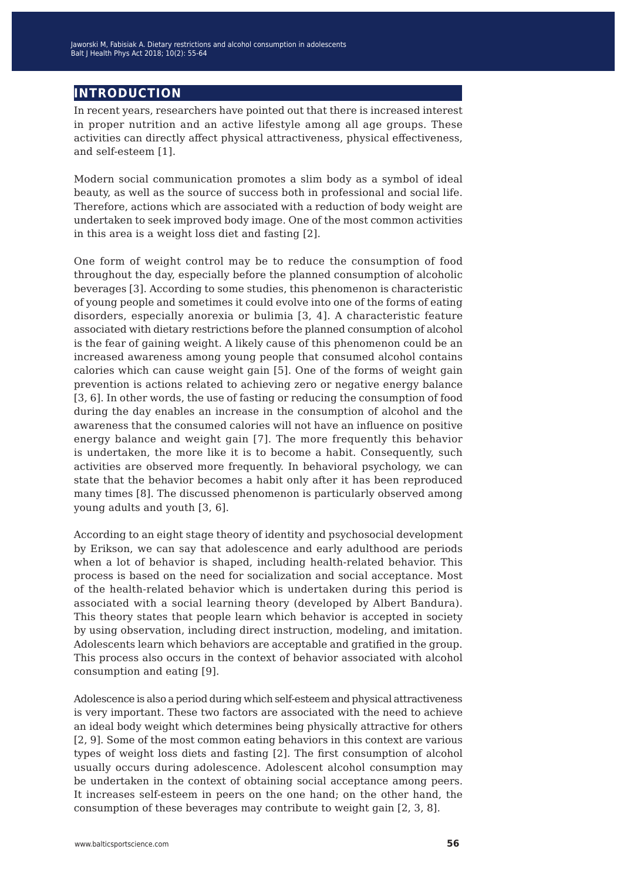## **introduction**

In recent years, researchers have pointed out that there is increased interest in proper nutrition and an active lifestyle among all age groups. These activities can directly affect physical attractiveness, physical effectiveness, and self-esteem [1].

Modern social communication promotes a slim body as a symbol of ideal beauty, as well as the source of success both in professional and social life. Therefore, actions which are associated with a reduction of body weight are undertaken to seek improved body image. One of the most common activities in this area is a weight loss diet and fasting [2].

One form of weight control may be to reduce the consumption of food throughout the day, especially before the planned consumption of alcoholic beverages [3]. According to some studies, this phenomenon is characteristic of young people and sometimes it could evolve into one of the forms of eating disorders, especially anorexia or bulimia [3, 4]. A characteristic feature associated with dietary restrictions before the planned consumption of alcohol is the fear of gaining weight. A likely cause of this phenomenon could be an increased awareness among young people that consumed alcohol contains calories which can cause weight gain [5]. One of the forms of weight gain prevention is actions related to achieving zero or negative energy balance [3, 6]. In other words, the use of fasting or reducing the consumption of food during the day enables an increase in the consumption of alcohol and the awareness that the consumed calories will not have an influence on positive energy balance and weight gain [7]. The more frequently this behavior is undertaken, the more like it is to become a habit. Consequently, such activities are observed more frequently. In behavioral psychology, we can state that the behavior becomes a habit only after it has been reproduced many times [8]. The discussed phenomenon is particularly observed among young adults and youth [3, 6].

According to an eight stage theory of identity and psychosocial development by Erikson, we can say that adolescence and early adulthood are periods when a lot of behavior is shaped, including health-related behavior. This process is based on the need for socialization and social acceptance. Most of the health-related behavior which is undertaken during this period is associated with a social learning theory (developed by Albert Bandura). This theory states that people learn which behavior is accepted in society by using observation, including direct instruction, modeling, and imitation. Adolescents learn which behaviors are acceptable and gratified in the group. This process also occurs in the context of behavior associated with alcohol consumption and eating [9].

Adolescence is also a period during which self-esteem and physical attractiveness is very important. These two factors are associated with the need to achieve an ideal body weight which determines being physically attractive for others [2, 9]. Some of the most common eating behaviors in this context are various types of weight loss diets and fasting [2]. The first consumption of alcohol usually occurs during adolescence. Adolescent alcohol consumption may be undertaken in the context of obtaining social acceptance among peers. It increases self-esteem in peers on the one hand; on the other hand, the consumption of these beverages may contribute to weight gain [2, 3, 8].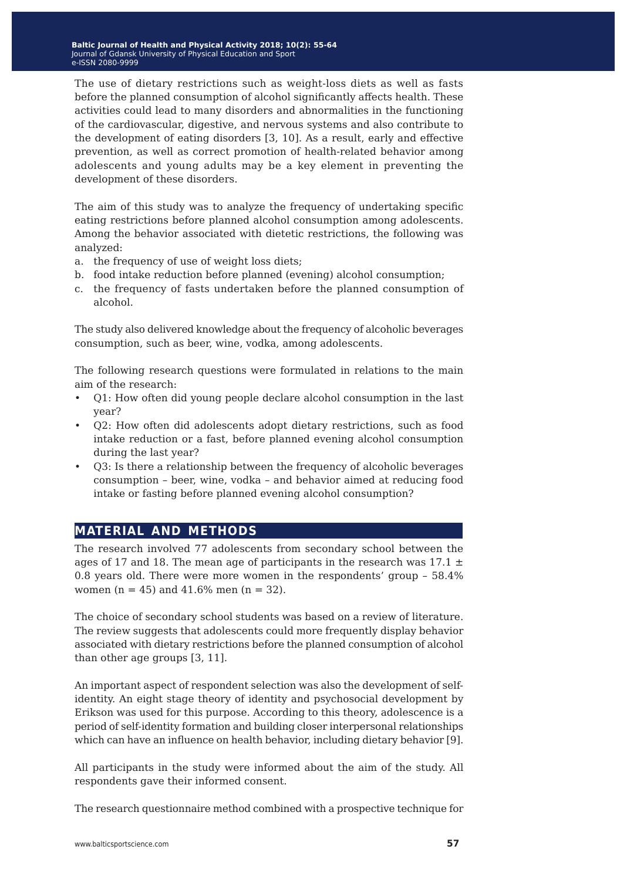The use of dietary restrictions such as weight-loss diets as well as fasts before the planned consumption of alcohol significantly affects health. These activities could lead to many disorders and abnormalities in the functioning of the cardiovascular, digestive, and nervous systems and also contribute to the development of eating disorders [3, 10]. As a result, early and effective prevention, as well as correct promotion of health-related behavior among adolescents and young adults may be a key element in preventing the development of these disorders.

The aim of this study was to analyze the frequency of undertaking specific eating restrictions before planned alcohol consumption among adolescents. Among the behavior associated with dietetic restrictions, the following was analyzed:

- a. the frequency of use of weight loss diets;
- b. food intake reduction before planned (evening) alcohol consumption;
- c. the frequency of fasts undertaken before the planned consumption of alcohol.

The study also delivered knowledge about the frequency of alcoholic beverages consumption, such as beer, wine, vodka, among adolescents.

The following research questions were formulated in relations to the main aim of the research:

- Q1: How often did young people declare alcohol consumption in the last year?
- Q2: How often did adolescents adopt dietary restrictions, such as food intake reduction or a fast, before planned evening alcohol consumption during the last year?
- Q3: Is there a relationship between the frequency of alcoholic beverages consumption – beer, wine, vodka – and behavior aimed at reducing food intake or fasting before planned evening alcohol consumption?

## **material and methods**

The research involved 77 adolescents from secondary school between the ages of 17 and 18. The mean age of participants in the research was 17.1  $\pm$ 0.8 years old. There were more women in the respondents' group – 58.4% women (n = 45) and 41.6% men (n = 32).

The choice of secondary school students was based on a review of literature. The review suggests that adolescents could more frequently display behavior associated with dietary restrictions before the planned consumption of alcohol than other age groups [3, 11].

An important aspect of respondent selection was also the development of selfidentity. An eight stage theory of identity and psychosocial development by Erikson was used for this purpose. According to this theory, adolescence is a period of self-identity formation and building closer interpersonal relationships which can have an influence on health behavior, including dietary behavior [9].

All participants in the study were informed about the aim of the study. All respondents gave their informed consent.

The research questionnaire method combined with a prospective technique for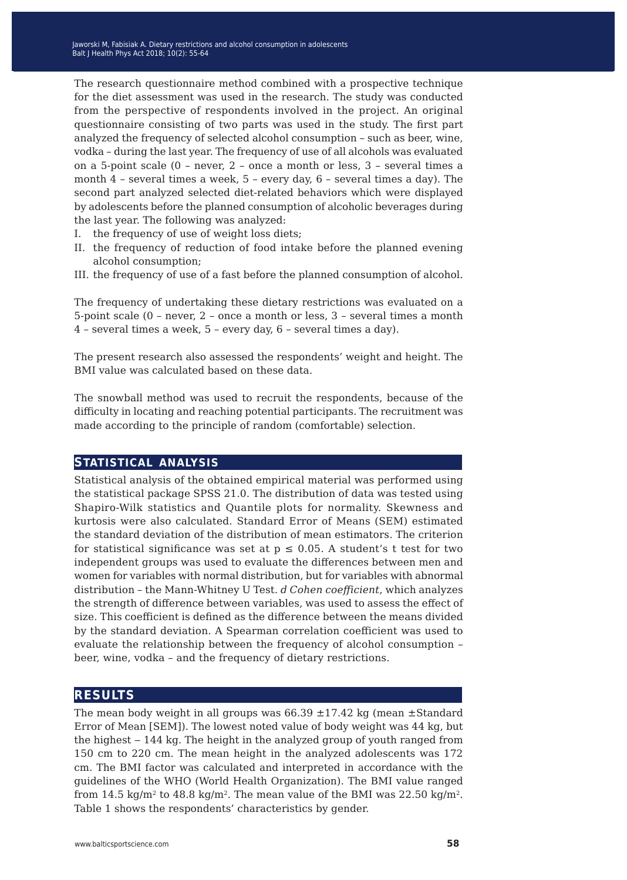The research questionnaire method combined with a prospective technique for the diet assessment was used in the research. The study was conducted from the perspective of respondents involved in the project. An original questionnaire consisting of two parts was used in the study. The first part analyzed the frequency of selected alcohol consumption – such as beer, wine, vodka – during the last year. The frequency of use of all alcohols was evaluated on a 5-point scale (0 – never, 2 – once a month or less, 3 – several times a month 4 – several times a week, 5 – every day, 6 – several times a day). The second part analyzed selected diet-related behaviors which were displayed by adolescents before the planned consumption of alcoholic beverages during the last year. The following was analyzed:

- I. the frequency of use of weight loss diets;
- II. the frequency of reduction of food intake before the planned evening alcohol consumption;
- III. the frequency of use of a fast before the planned consumption of alcohol.

The frequency of undertaking these dietary restrictions was evaluated on a 5-point scale (0 – never, 2 – once a month or less, 3 – several times a month 4 – several times a week, 5 – every day, 6 – several times a day).

The present research also assessed the respondents' weight and height. The BMI value was calculated based on these data.

The snowball method was used to recruit the respondents, because of the difficulty in locating and reaching potential participants. The recruitment was made according to the principle of random (comfortable) selection.

#### **statistical analysis**

Statistical analysis of the obtained empirical material was performed using the statistical package SPSS 21.0. The distribution of data was tested using Shapiro-Wilk statistics and Quantile plots for normality. Skewness and kurtosis were also calculated. Standard Error of Means (SEM) estimated the standard deviation of the distribution of mean estimators. The criterion for statistical significance was set at  $p \le 0.05$ . A student's t test for two independent groups was used to evaluate the differences between men and women for variables with normal distribution, but for variables with abnormal distribution – the Mann-Whitney U Test. *d Cohen coefficient*, which analyzes the strength of difference between variables, was used to assess the effect of size. This coefficient is defined as the difference between the means divided by the standard deviation. A Spearman correlation coefficient was used to evaluate the relationship between the frequency of alcohol consumption – beer, wine, vodka – and the frequency of dietary restrictions.

## **results**

The mean body weight in all groups was  $66.39 \pm 17.42$  kg (mean  $\pm$ Standard Error of Mean [SEM]). The lowest noted value of body weight was 44 kg, but the highest – 144 kg. The height in the analyzed group of youth ranged from 150 cm to 220 cm. The mean height in the analyzed adolescents was 172 cm. The BMI factor was calculated and interpreted in accordance with the guidelines of the WHO (World Health Organization). The BMI value ranged from 14.5 kg/m<sup>2</sup> to 48.8 kg/m<sup>2</sup>. The mean value of the BMI was 22.50 kg/m<sup>2</sup>. Table 1 shows the respondents' characteristics by gender.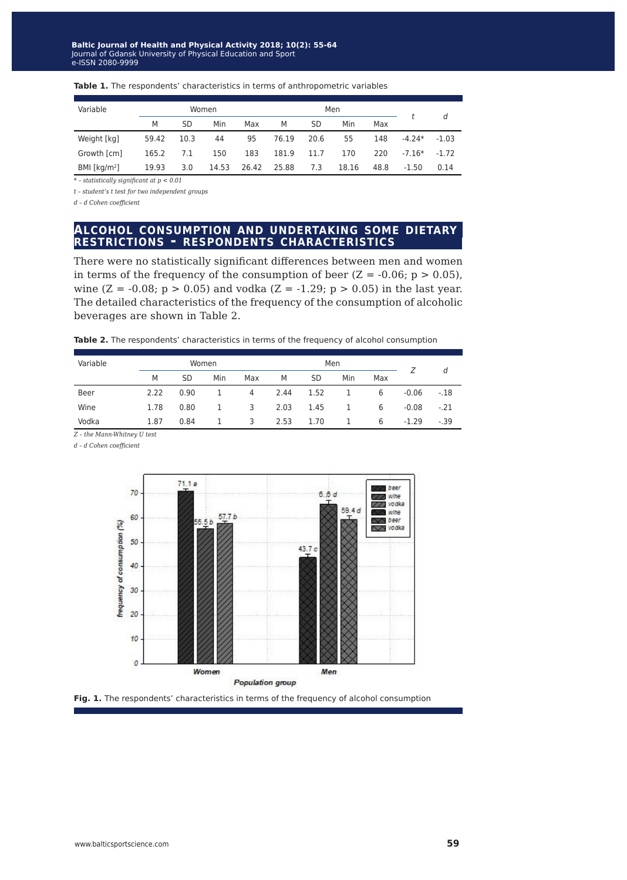| Variable        |       |      | Women |       |       | Men  |       |      |          |         |
|-----------------|-------|------|-------|-------|-------|------|-------|------|----------|---------|
|                 | M     | SD   | Min   | Max   | M     | SD   | Min   | Max  |          | d       |
| Weight [kg]     | 59.42 | 10.3 | 44    | 95    | 76.19 | 20.6 | 55    | 148  | $-4.24*$ | $-1.03$ |
| Growth [cm]     | 165.2 | 7.1  | 150   | 183   | 181.9 | 11.7 | 170   | 220  | $-7.16*$ | $-1.72$ |
| BMI [ $kg/m2$ ] | 19.93 | 3.0  | 14.53 | 26.42 | 25.88 | 7.3  | 18.16 | 48.8 | $-1.50$  | 0.14    |

#### Table 1. The respondents' characteristics in terms of anthropometric variables

*\* – statistically significant at p < 0.01*

*t – student's t test for two independent groups*

*d – d Cohen coefficient*

#### **alcohol consumption and undertaking some dietary restrictions - respondents characteristics**

There were no statistically significant differences between men and women in terms of the frequency of the consumption of beer  $(Z = -0.06; p > 0.05)$ , wine (Z = -0.08;  $p > 0.05$ ) and vodka (Z = -1.29;  $p > 0.05$ ) in the last year. The detailed characteristics of the frequency of the consumption of alcoholic beverages are shown in Table 2.

| Variable |      | Women     |     |     |      | Men  |     |     |         |        |
|----------|------|-----------|-----|-----|------|------|-----|-----|---------|--------|
|          | M    | <b>SD</b> | Min | Max | M    | SD   | Min | Max |         | d      |
| Beer     | 2.22 | 0.90      |     | 4   | 2.44 | 1.52 |     | 6   | $-0.06$ | $-.18$ |
| Wine     | 1.78 | 0.80      | 1   | 3   | 2.03 | 1.45 | 1   | 6   | $-0.08$ | $-.21$ |
| Vodka    | 1.87 | 0.84      |     | 3   | 2.53 | 1.70 | 1.  | 6   | $-1.29$ | $-.39$ |

*Z – the Mann-Whitney U test*

*d – d Cohen coefficient*



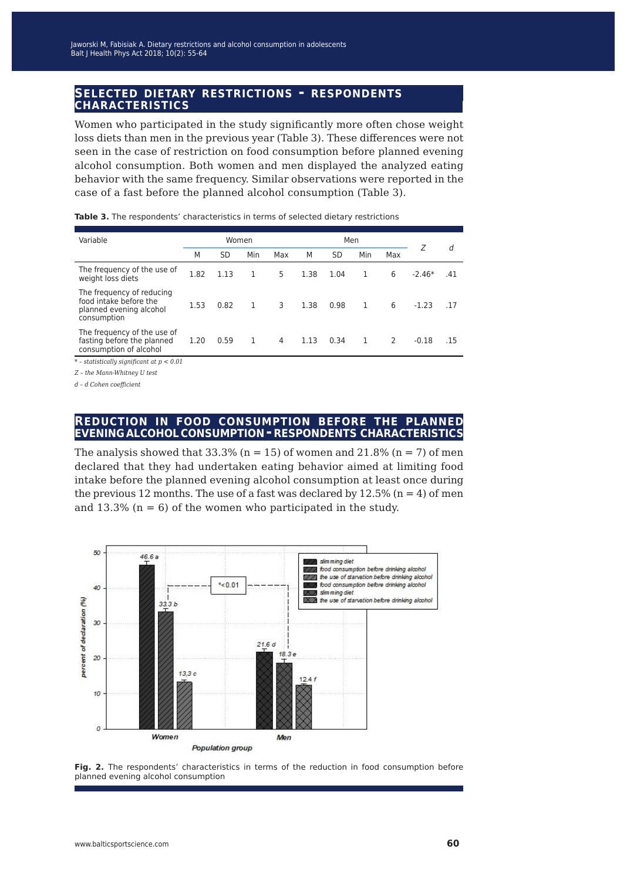# **selected dietary restrictions - respondents characteristics**

Women who participated in the study significantly more often chose weight loss diets than men in the previous year (Table 3). These differences were not seen in the case of restriction on food consumption before planned evening alcohol consumption. Both women and men displayed the analyzed eating behavior with the same frequency. Similar observations were reported in the case of a fast before the planned alcohol consumption (Table 3).

| Variable                                                                                      | Women |           |     | Men |      |      |     | Ζ   | d        |     |
|-----------------------------------------------------------------------------------------------|-------|-----------|-----|-----|------|------|-----|-----|----------|-----|
|                                                                                               | M     | <b>SD</b> | Min | Max | M    | SD   | Min | Max |          |     |
| The frequency of the use of<br>weight loss diets                                              | 1.82  | 1.13      | 1   | 5   | 1.38 | 1.04 | 1   | 6   | $-2.46*$ | .41 |
| The frequency of reducing<br>food intake before the<br>planned evening alcohol<br>consumption | 1.53  | 0.82      | 1   | 3   | 1.38 | 0.98 | 1   | 6   | $-1.23$  | .17 |
| The frequency of the use of<br>fasting before the planned<br>consumption of alcohol           | 1.20  | 0.59      | 1   | 4   | 1.13 | 0.34 | 1   | 2   | $-0.18$  | .15 |
| $*$ - statistically significant at $p < 0.01$                                                 |       |           |     |     |      |      |     |     |          |     |

**Table 3.** The respondents' characteristics in terms of selected dietary restrictions

*\* – statistically significant at p < 0.01*

*Z – the Mann-Whitney U test*

*d – d Cohen coefficient*

#### **reduction in food consumption before the planned evening alcoholconsumption - respondents characteristics**

The analysis showed that  $33.3\%$  (n = 15) of women and  $21.8\%$  (n = 7) of men declared that they had undertaken eating behavior aimed at limiting food intake before the planned evening alcohol consumption at least once during the previous 12 months. The use of a fast was declared by  $12.5\%$  (n = 4) of men and  $13.3\%$  (n = 6) of the women who participated in the study.



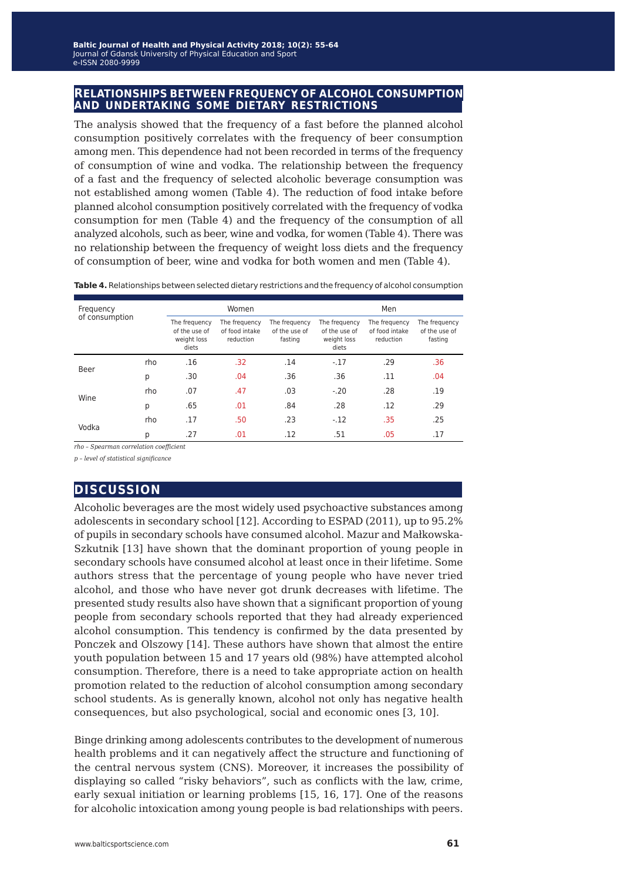#### **relationships between frequency of alcohol consumption and undertaking some dietary restrictions**

The analysis showed that the frequency of a fast before the planned alcohol consumption positively correlates with the frequency of beer consumption among men. This dependence had not been recorded in terms of the frequency of consumption of wine and vodka. The relationship between the frequency of a fast and the frequency of selected alcoholic beverage consumption was not established among women (Table 4). The reduction of food intake before planned alcohol consumption positively correlated with the frequency of vodka consumption for men (Table 4) and the frequency of the consumption of all analyzed alcohols, such as beer, wine and vodka, for women (Table 4). There was no relationship between the frequency of weight loss diets and the frequency of consumption of beer, wine and vodka for both women and men (Table 4).

**Table 4.**Relationships between selected dietary restrictions and the frequency of alcohol consumption

| Frequency      |     |                                                        | Women                                        |                                           |                                                        | Men                                          |                                           |
|----------------|-----|--------------------------------------------------------|----------------------------------------------|-------------------------------------------|--------------------------------------------------------|----------------------------------------------|-------------------------------------------|
| of consumption |     | The frequency<br>of the use of<br>weight loss<br>diets | The frequency<br>of food intake<br>reduction | The frequency<br>of the use of<br>fasting | The frequency<br>of the use of<br>weight loss<br>diets | The frequency<br>of food intake<br>reduction | The frequency<br>of the use of<br>fasting |
| Beer           | rho | .16                                                    | .32                                          | .14                                       | $-.17$                                                 | .29                                          | .36                                       |
|                | р   | .30                                                    | .04                                          | .36                                       | .36                                                    | .11                                          | .04                                       |
| Wine           | rho | .07                                                    | .47                                          | .03                                       | $-.20$                                                 | .28                                          | .19                                       |
|                | р   | .65                                                    | .01                                          | .84                                       | .28                                                    | .12                                          | .29                                       |
| Vodka          | rho | .17                                                    | .50                                          | .23                                       | $-.12$                                                 | .35                                          | .25                                       |
|                | р   | .27                                                    | .01                                          | .12                                       | .51                                                    | .05                                          | .17                                       |

*rho – Spearman correlation coefficient*

*p – level of statistical significance*

## **discussion**

Alcoholic beverages are the most widely used psychoactive substances among adolescents in secondary school [12]. According to ESPAD (2011), up to 95.2% of pupils in secondary schools have consumed alcohol. Mazur and Małkowska-Szkutnik [13] have shown that the dominant proportion of young people in secondary schools have consumed alcohol at least once in their lifetime. Some authors stress that the percentage of young people who have never tried alcohol, and those who have never got drunk decreases with lifetime. The presented study results also have shown that a significant proportion of young people from secondary schools reported that they had already experienced alcohol consumption. This tendency is confirmed by the data presented by Ponczek and Olszowy [14]. These authors have shown that almost the entire youth population between 15 and 17 years old (98%) have attempted alcohol consumption. Therefore, there is a need to take appropriate action on health promotion related to the reduction of alcohol consumption among secondary school students. As is generally known, alcohol not only has negative health consequences, but also psychological, social and economic ones [3, 10].

Binge drinking among adolescents contributes to the development of numerous health problems and it can negatively affect the structure and functioning of the central nervous system (CNS). Moreover, it increases the possibility of displaying so called "risky behaviors", such as conflicts with the law, crime, early sexual initiation or learning problems [15, 16, 17]. One of the reasons for alcoholic intoxication among young people is bad relationships with peers.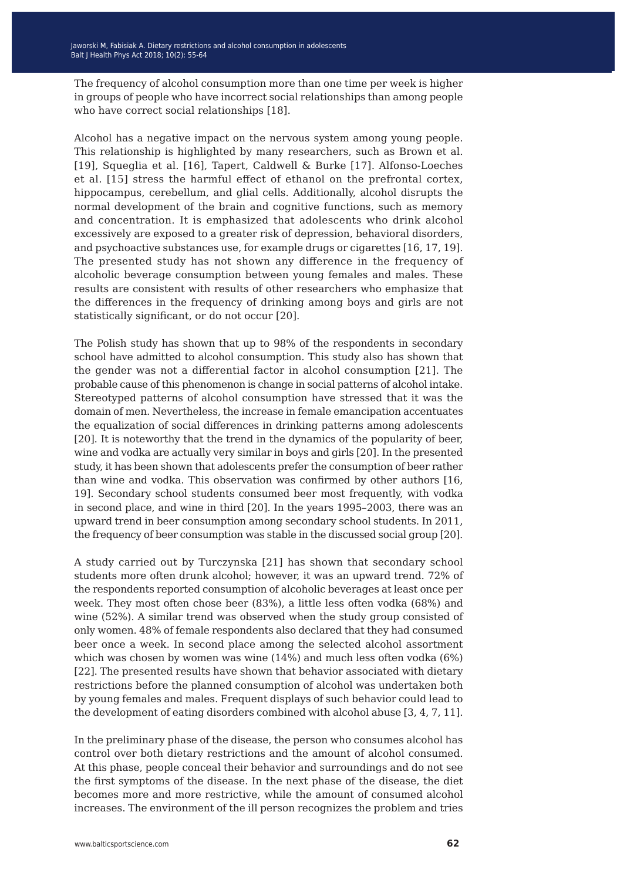The frequency of alcohol consumption more than one time per week is higher in groups of people who have incorrect social relationships than among people who have correct social relationships [18].

Alcohol has a negative impact on the nervous system among young people. This relationship is highlighted by many researchers, such as Brown et al. [19], Squeglia et al. [16], Tapert, Caldwell & Burke [17]. Alfonso-Loeches et al. [15] stress the harmful effect of ethanol on the prefrontal cortex, hippocampus, cerebellum, and glial cells. Additionally, alcohol disrupts the normal development of the brain and cognitive functions, such as memory and concentration. It is emphasized that adolescents who drink alcohol excessively are exposed to a greater risk of depression, behavioral disorders, and psychoactive substances use, for example drugs or cigarettes [16, 17, 19]. The presented study has not shown any difference in the frequency of alcoholic beverage consumption between young females and males. These results are consistent with results of other researchers who emphasize that the differences in the frequency of drinking among boys and girls are not statistically significant, or do not occur [20].

The Polish study has shown that up to 98% of the respondents in secondary school have admitted to alcohol consumption. This study also has shown that the gender was not a differential factor in alcohol consumption [21]. The probable cause of this phenomenon is change in social patterns of alcohol intake. Stereotyped patterns of alcohol consumption have stressed that it was the domain of men. Nevertheless, the increase in female emancipation accentuates the equalization of social differences in drinking patterns among adolescents [20]. It is noteworthy that the trend in the dynamics of the popularity of beer, wine and vodka are actually very similar in boys and girls [20]. In the presented study, it has been shown that adolescents prefer the consumption of beer rather than wine and vodka. This observation was confirmed by other authors [16, 19]. Secondary school students consumed beer most frequently, with vodka in second place, and wine in third [20]. In the years 1995–2003, there was an upward trend in beer consumption among secondary school students. In 2011, the frequency of beer consumption was stable in the discussed social group [20].

A study carried out by Turczynska [21] has shown that secondary school students more often drunk alcohol; however, it was an upward trend. 72% of the respondents reported consumption of alcoholic beverages at least once per week. They most often chose beer (83%), a little less often vodka (68%) and wine (52%). A similar trend was observed when the study group consisted of only women. 48% of female respondents also declared that they had consumed beer once a week. In second place among the selected alcohol assortment which was chosen by women was wine (14%) and much less often vodka (6%) [22]. The presented results have shown that behavior associated with dietary restrictions before the planned consumption of alcohol was undertaken both by young females and males. Frequent displays of such behavior could lead to the development of eating disorders combined with alcohol abuse [3, 4, 7, 11].

In the preliminary phase of the disease, the person who consumes alcohol has control over both dietary restrictions and the amount of alcohol consumed. At this phase, people conceal their behavior and surroundings and do not see the first symptoms of the disease. In the next phase of the disease, the diet becomes more and more restrictive, while the amount of consumed alcohol increases. The environment of the ill person recognizes the problem and tries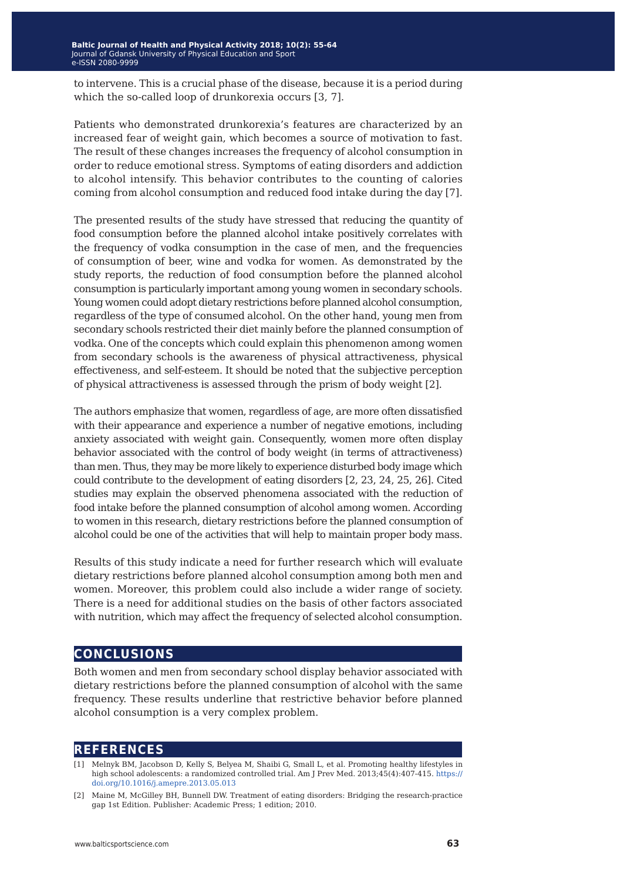to intervene. This is a crucial phase of the disease, because it is a period during which the so-called loop of drunkorexia occurs [3, 7].

Patients who demonstrated drunkorexia's features are characterized by an increased fear of weight gain, which becomes a source of motivation to fast. The result of these changes increases the frequency of alcohol consumption in order to reduce emotional stress. Symptoms of eating disorders and addiction to alcohol intensify. This behavior contributes to the counting of calories coming from alcohol consumption and reduced food intake during the day [7].

The presented results of the study have stressed that reducing the quantity of food consumption before the planned alcohol intake positively correlates with the frequency of vodka consumption in the case of men, and the frequencies of consumption of beer, wine and vodka for women. As demonstrated by the study reports, the reduction of food consumption before the planned alcohol consumption is particularly important among young women in secondary schools. Young women could adopt dietary restrictions before planned alcohol consumption, regardless of the type of consumed alcohol. On the other hand, young men from secondary schools restricted their diet mainly before the planned consumption of vodka. One of the concepts which could explain this phenomenon among women from secondary schools is the awareness of physical attractiveness, physical effectiveness, and self-esteem. It should be noted that the subjective perception of physical attractiveness is assessed through the prism of body weight [2].

The authors emphasize that women, regardless of age, are more often dissatisfied with their appearance and experience a number of negative emotions, including anxiety associated with weight gain. Consequently, women more often display behavior associated with the control of body weight (in terms of attractiveness) than men. Thus, they may be more likely to experience disturbed body image which could contribute to the development of eating disorders [2, 23, 24, 25, 26]. Cited studies may explain the observed phenomena associated with the reduction of food intake before the planned consumption of alcohol among women. According to women in this research, dietary restrictions before the planned consumption of alcohol could be one of the activities that will help to maintain proper body mass.

Results of this study indicate a need for further research which will evaluate dietary restrictions before planned alcohol consumption among both men and women. Moreover, this problem could also include a wider range of society. There is a need for additional studies on the basis of other factors associated with nutrition, which may affect the frequency of selected alcohol consumption.

## **conclusions**

Both women and men from secondary school display behavior associated with dietary restrictions before the planned consumption of alcohol with the same frequency. These results underline that restrictive behavior before planned alcohol consumption is a very complex problem.

## **references**

[1] Melnyk BM, Jacobson D, Kelly S, Belyea M, Shaibi G, Small L, et al. Promoting healthy lifestyles in high school adolescents: a randomized controlled trial. Am J Prev Med. 2013;45(4):407-415. [https://](https://doi.org/10.1016/j.amepre.2013.05.013) [doi.org/10.1016/j.amepre.2013.05.013](https://doi.org/10.1016/j.amepre.2013.05.013)

<sup>[2]</sup> Maine M, McGilley BH, Bunnell DW. Treatment of eating disorders: Bridging the research-practice gap 1st Edition. Publisher: Academic Press; 1 edition; 2010.